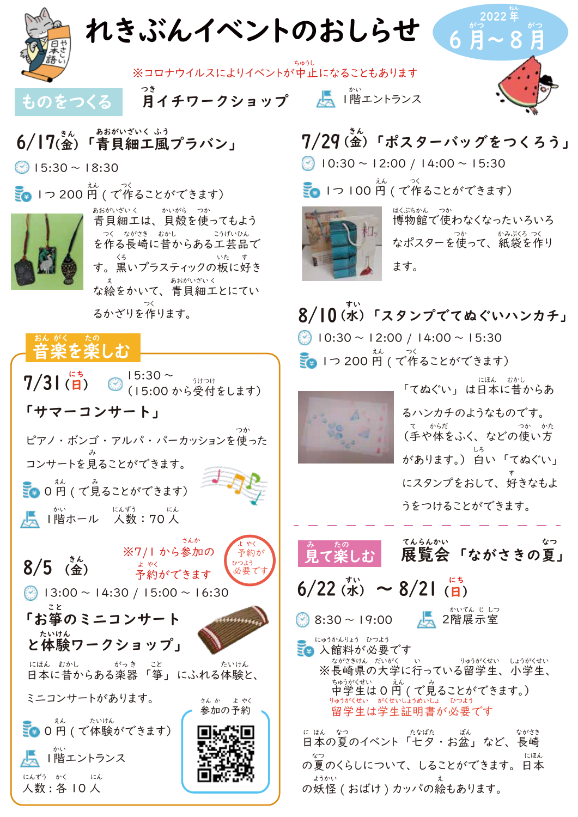



あおがいざいく ふう

な絵をかいて、 青貝細工とにてい るかざりを作ります。 つく



| 「サマーコンサート」                                                                                                                                                                                                     |
|----------------------------------------------------------------------------------------------------------------------------------------------------------------------------------------------------------------|
| つか<br>ピアノ・ボンゴ・アルパ・パーカッションを使った                                                                                                                                                                                  |
| コンサートを見ることができます。                                                                                                                                                                                               |
| $\frac{1}{2}$ 0 円 ( で見ることができます)                                                                                                                                                                                |
| LA 1階ホール にんずう にん<br>1階ホール 人数:70人                                                                                                                                                                               |
| さんか<br>やく<br>※7/1 から参加の<br>予約が<br>$8/5$ ( $\frac{3}{16}$ )<br>ひつよう<br>$\begin{array}{c} \mathcal{A} \\ \downarrow \ \ \mathcal{P} \times \\ \mathcal{P} \rightarrow \mathcal{P} \end{array}$<br>必要で<br>予約ができます |
| $\odot$ 13:00 ~ 14:30 / 15:00 ~ 16:30                                                                                                                                                                          |
| こと<br>「お箏のミニコンサート                                                                                                                                                                                              |
| たいけん<br>と体験ワークショップ」                                                                                                                                                                                            |
| にほん むかし がっき こと<br>たいけん<br>……。……。……。<br>日本に昔からある楽器 「箏」 にふれる体験と、                                                                                                                                                 |
| ミニコンサートがあります。<br>さんか よやく<br>参加の予約                                                                                                                                                                              |
| <mark>ミ</mark> ● 0円 (で体験ができます)                                                                                                                                                                                 |
| かい<br> 階エントランス                                                                                                                                                                                                 |
| にんずう かく にん<br>人数: 各 10 人                                                                                                                                                                                       |

#### 7/29(金)「ポスターバッグをつくろう」 きん

 $\bigcirc$  10:30 ~ 12:00 / 14:00 ~ 15:30

**1つ 100 円 (で作ることができます)** 



博物館で使わなくなったいろいろ なポスターを使って、 紙袋を作り ます。 はくぶちかん つか かみぶくろ つく

8/10 (水) 「スタンプでてぬぐいハンカチ」 **Ⅰつ 200 円 ( で作ることができます)** すい  $\circ$  10:30 ~ 12:00 / 14:00 ~ 15:30



「てぬぐい」 は日本に昔からあ るハンカチのようなものです。 (手や体をふく、 などの使い方 があります。) 白い 「てぬぐい」 にスタンプをおして、 好きなもよ うをつけることができます。 て からだ つか かた しろ す

にほん おかし



。 。。<br>見て楽しむ 展覧会 「ながさきの夏」 てんらんかい

# $6/22$   $\sigma^{(1)}(k) \sim 8/21$   $\sigma^{(15)}(k)$

3:30~19:00 ■■ 2階展示室

かいてん じ しつ

<mark>ミ</mark>• 入館料が必要です<br>\*\*\*\*\*\*\*\* だいがく ※長崎県の大学に行っている留学生、 小学生、 中学生は 0 円 ( で見ることができます。) りゅうがくせい がくせいしょうめいしょ ひつよう 留学生は学生証明書が必要です にゅうかんりょう ひつよう りゅうがくせい しょうがくせい ちゅうがくせい えん み

に ほん たなばた ぽん ながさき<br>日本の夏のイベント「七夕・お盆」 など、 長崎 の夏のくらしについて、 しることができます。 日本 の妖怪 (おばけ)カッパの絵もあります。 なつ しょうしょう しゅうしゅう しゅうしゅん しゅうしゅん にほん ようかい えんじょう えんじょうかい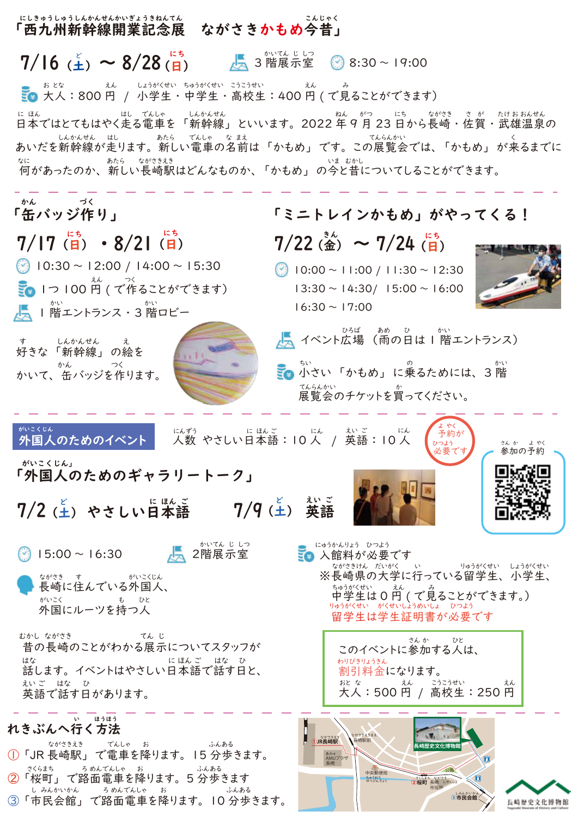#### 「西九州新幹線開業記念展 ながさきかもめ今昔」 にしきゅうしゅうしんかんせんかいぎょうきねんてん こんじゃく

 $7/16$  ( $\pm$ ) ~ 8/28( $\overline{H}$ )  $\epsilon$  > 8/28 (A)  $\epsilon$  3階展示室  $\begin{bmatrix} 8 \\ 8 \end{bmatrix}$  8:30 ~ 19:00

■ 大人:800円 / 小学生・中学生・高校生:400円 (で見ることができます) えん しょうがくせい ちゅうがくせい こうこうせい フルスル

日本ではとてもはやく走る電車を 「新幹線」 といいます。 2022 年 9 月 23 日から長崎 ・ 佐賀 ・ 武雄温泉の に ほん はし でんしゃ しんかんせん ねん がつ にち ながさき さ が たけ お おんせん ― しんかんせん はし ― あたら でんしゃ なまえ<br>あいだを新幹線が走ります。新しい電車の名前は「かもめ」です。この展覧会では、「かもめ」が来るまでに <u>なにといったのか、あたら、ながききき</u><br>何があったのか、新しい長崎駅はどんなものか、「かもめ」 の今と昔についてしることができます。

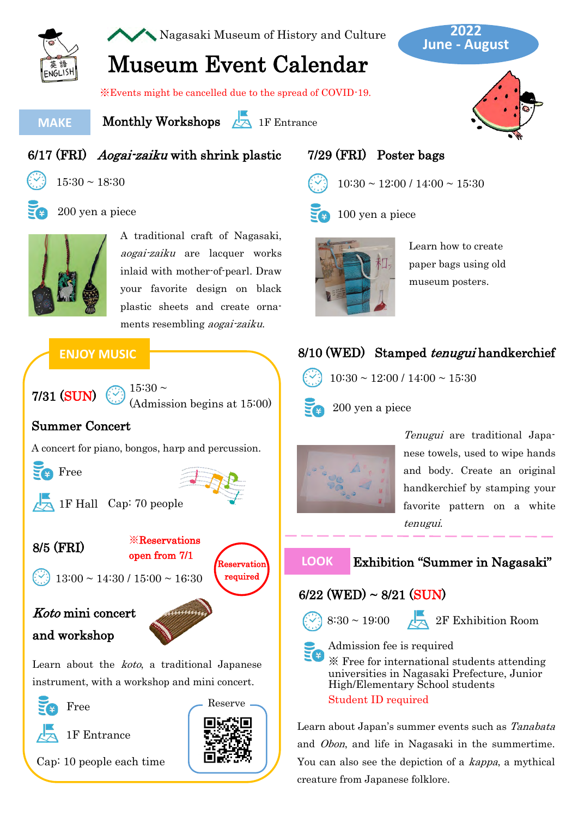

Nagasaki Museum of History and Culture

#### **June - August 2022**

# Museum Event Calendar

※Events might be cancelled due to the spread of COVID-19.

#### **MAKE**

Monthly Workshops 24 1F Entrance



#### 6/17 (FRI) Aogai-zaiku with shrink plastic



 $15:30 \sim 18:30$ 



#### 200 yen a piece



A traditional craft of Nagasaki, aogai-zaiku are lacquer works inlaid with mother-of-pearl. Draw your favorite design on black plastic sheets and create ornaments resembling aogai-zaiku.

### **ENJOY MUSIC**



(Admission begins at 15:00)

#### Summer Concert

A concert for piano, bongos, harp and percussion.



1F Hall Cap: 70 people



Reservation ※Reservations open from 7/1

 $13:00 \sim 14:30 / 15:00 \sim 16:30$ 

# Koto mini concert and workshop



Learn about the *koto*, a traditional Japanese instrument, with a workshop and mini concert.



1F Entrance

Cap: 10 people each time



Reserve

#### 7/29 (FRI) Poster bags



 $10:30 \sim 12:00 / 14:00 \sim 15:30$ 



100 yen a piece



Learn how to create paper bags using old museum posters.

## 8/10 (WED) Stamped *tenugui* handkerchief



 $10:30 \sim 12:00 / 14:00 \sim 15:30$ 

200 yen a piece



Tenugui are traditional Japanese towels, used to wipe hands and body. Create an original handkerchief by stamping your favorite pattern on a white tenugui.



#### **LOOK** Exhibition "Summer in Nagasaki"

### $6/22$  (WED) ~  $8/21$  (SUN)



 $\frac{1}{2}$  8:30 ~ 19:00  $\sqrt{2}$  2F Exhibition Room

Admission fee is required

※ Free for international students attending universities in Nagasaki Prefecture, Junior High/Elementary School students Student ID required

Learn about Japan's summer events such as Tanabata and Obon, and life in Nagasaki in the summertime. You can also see the depiction of a *kappa*, a mythical creature from Japanese folklore.